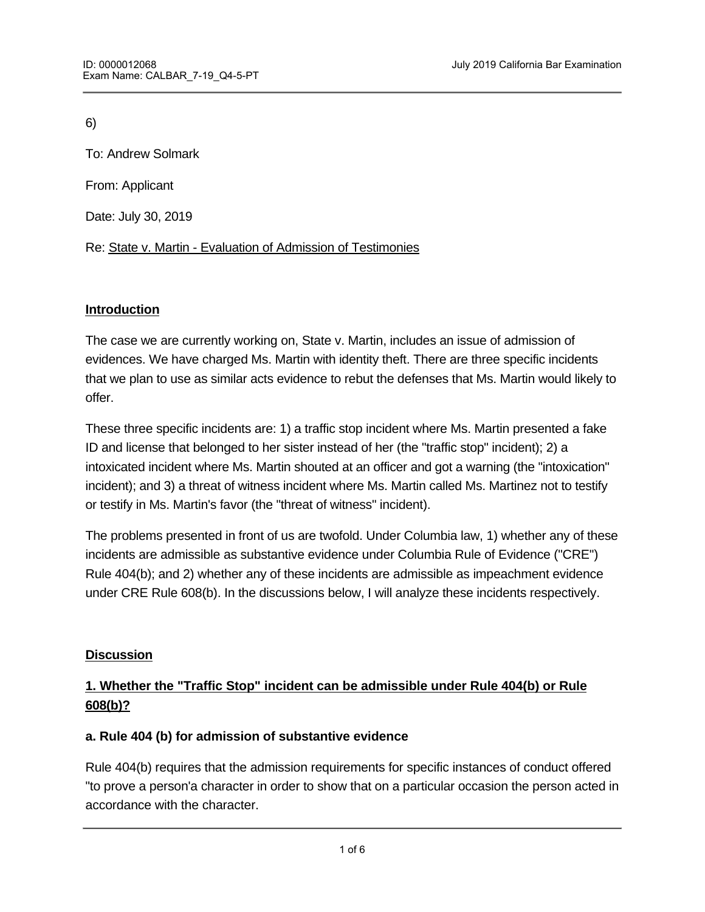6)

To: Andrew Solmark

From: Applicant

Date: July 30, 2019

Re: State v. Martin - Evaluation of Admission of Testimonies

# **Introduction**

The case we are currently working on, State v. Martin, includes an issue of admission of evidences. We have charged Ms. Martin with identity theft. There are three specific incidents that we plan to use as similar acts evidence to rebut the defenses that Ms. Martin would likely to offer.

These three specific incidents are: 1) a traffic stop incident where Ms. Martin presented a fake ID and license that belonged to her sister instead of her (the "traffic stop" incident); 2) a intoxicated incident where Ms. Martin shouted at an officer and got a warning (the "intoxication" incident); and 3) a threat of witness incident where Ms. Martin called Ms. Martinez not to testify or testify in Ms. Martin's favor (the "threat of witness" incident).

The problems presented in front of us are twofold. Under Columbia law, 1) whether any of these incidents are admissible as substantive evidence under Columbia Rule of Evidence ("CRE") Rule 404(b); and 2) whether any of these incidents are admissible as impeachment evidence under CRE Rule 608(b). In the discussions below, I will analyze these incidents respectively.

# **Discussion**

# **1. Whether the "Traffic Stop" incident can be admissible under Rule 404(b) or Rule 608(b)?**

# **a. Rule 404 (b) for admission of substantive evidence**

Rule 404(b) requires that the admission requirements for specific instances of conduct offered "to prove a person'a character in order to show that on a particular occasion the person acted in accordance with the character.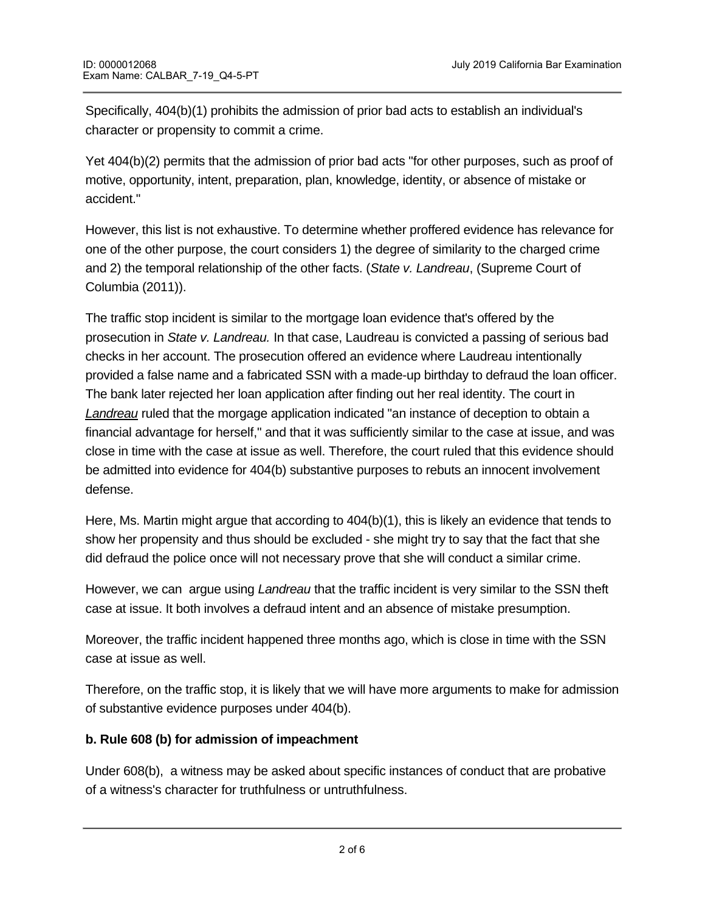Specifically, 404(b)(1) prohibits the admission of prior bad acts to establish an individual's character or propensity to commit a crime.

Yet 404(b)(2) permits that the admission of prior bad acts "for other purposes, such as proof of motive, opportunity, intent, preparation, plan, knowledge, identity, or absence of mistake or accident."

However, this list is not exhaustive. To determine whether proffered evidence has relevance for one of the other purpose, the court considers 1) the degree of similarity to the charged crime and 2) the temporal relationship of the other facts. (*State v. Landreau*, (Supreme Court of Columbia (2011)).

The traffic stop incident is similar to the mortgage loan evidence that's offered by the prosecution in *State v. Landreau.* In that case, Laudreau is convicted a passing of serious bad checks in her account. The prosecution offered an evidence where Laudreau intentionally provided a false name and a fabricated SSN with a made-up birthday to defraud the loan officer. The bank later rejected her loan application after finding out her real identity. The court in *Landreau* ruled that the morgage application indicated "an instance of deception to obtain a financial advantage for herself," and that it was sufficiently similar to the case at issue, and was close in time with the case at issue as well. Therefore, the court ruled that this evidence should be admitted into evidence for 404(b) substantive purposes to rebuts an innocent involvement defense.

Here, Ms. Martin might argue that according to 404(b)(1), this is likely an evidence that tends to show her propensity and thus should be excluded - she might try to say that the fact that she did defraud the police once will not necessary prove that she will conduct a similar crime.

However, we can argue using *Landreau* that the traffic incident is very similar to the SSN theft case at issue. It both involves a defraud intent and an absence of mistake presumption.

Moreover, the traffic incident happened three months ago, which is close in time with the SSN case at issue as well.

Therefore, on the traffic stop, it is likely that we will have more arguments to make for admission of substantive evidence purposes under 404(b).

# **b. Rule 608 (b) for admission of impeachment**

Under 608(b), a witness may be asked about specific instances of conduct that are probative of a witness's character for truthfulness or untruthfulness.

This rule is further elaborated in *State v. Proctor (Supreme Court of Columbia (2008))* that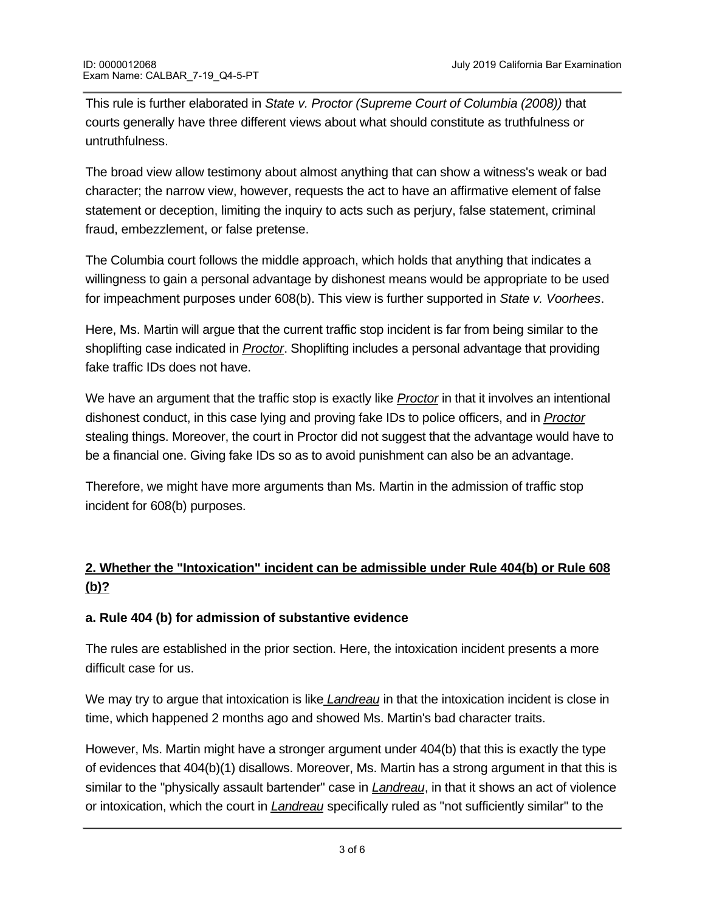This rule is further elaborated in *State v. Proctor (Supreme Court of Columbia (2008))* that courts generally have three different views about what should constitute as truthfulness or untruthfulness.

The broad view allow testimony about almost anything that can show a witness's weak or bad character; the narrow view, however, requests the act to have an affirmative element of false statement or deception, limiting the inquiry to acts such as perjury, false statement, criminal fraud, embezzlement, or false pretense.

The Columbia court follows the middle approach, which holds that anything that indicates a willingness to gain a personal advantage by dishonest means would be appropriate to be used for impeachment purposes under 608(b). This view is further supported in *State v. Voorhees*.

Here, Ms. Martin will argue that the current traffic stop incident is far from being similar to the shoplifting case indicated in *Proctor*. Shoplifting includes a personal advantage that providing fake traffic IDs does not have.

We have an argument that the traffic stop is exactly like *Proctor* in that it involves an intentional dishonest conduct, in this case lying and proving fake IDs to police officers, and in *Proctor* stealing things. Moreover, the court in Proctor did not suggest that the advantage would have to be a financial one. Giving fake IDs so as to avoid punishment can also be an advantage.

Therefore, we might have more arguments than Ms. Martin in the admission of traffic stop incident for 608(b) purposes.

# **2. Whether the "Intoxication" incident can be admissible under Rule 404(b) or Rule 608 (b)?**

# **a. Rule 404 (b) for admission of substantive evidence**

case at issue.

The rules are established in the prior section. Here, the intoxication incident presents a more difficult case for us.

We may try to argue that intoxication is like *Landreau* in that the intoxication incident is close in time, which happened 2 months ago and showed Ms. Martin's bad character traits.

However, Ms. Martin might have a stronger argument under 404(b) that this is exactly the type of evidences that 404(b)(1) disallows. Moreover, Ms. Martin has a strong argument in that this is similar to the "physically assault bartender" case in *Landreau*, in that it shows an act of violence or intoxication, which the court in *Landreau* specifically ruled as "not sufficiently similar" to the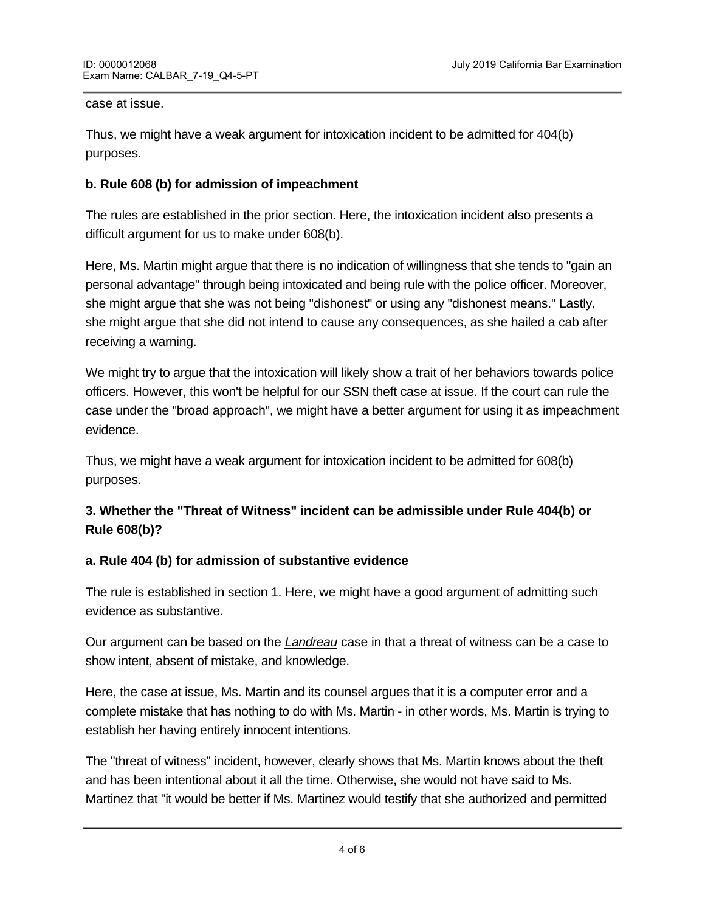#### case at issue.

Thus, we might have a weak argument for intoxication incident to be admitted for 404(b) purposes.

### **b. Rule 608 (b) for admission of impeachment**

The rules are established in the prior section. Here, the intoxication incident also presents a difficult argument for us to make under 608(b).

Here, Ms. Martin might argue that there is no indication of willingness that she tends to "gain an personal advantage" through being intoxicated and being rule with the police officer. Moreover, she might argue that she was not being "dishonest" or using any "dishonest means." Lastly, she might argue that she did not intend to cause any consequences, as she hailed a cab after receiving a warning.

We might try to argue that the intoxication will likely show a trait of her behaviors towards police officers. However, this won't be helpful for our SSN theft case at issue. If the court can rule the case under the "broad approach", we might have a better argument for using it as impeachment evidence.

Thus, we might have a weak argument for intoxication incident to be admitted for 608(b) purposes.

# **3. Whether the "Threat of Witness" incident can be admissible under Rule 404(b) or Rule 608(b)?**

# **a. Rule 404 (b) for admission of substantive evidence**

The rule is established in section 1. Here, we might have a good argument of admitting such evidence as substantive.

Our argument can be based on the *Landreau* case in that a threat of witness can be a case to show intent, absent of mistake, and knowledge.

Here, the case at issue, Ms. Martin and its counsel argues that it is a computer error and a complete mistake that has nothing to do with Ms. Martin - in other words, Ms. Martin is trying to establish her having entirely innocent intentions.

The "threat of witness" incident, however, clearly shows that Ms. Martin knows about the theft and has been intentional about it all the time. Otherwise, she would not have said to Ms. Martinez that "it would be better if Ms. Martinez would testify that she authorized and permitted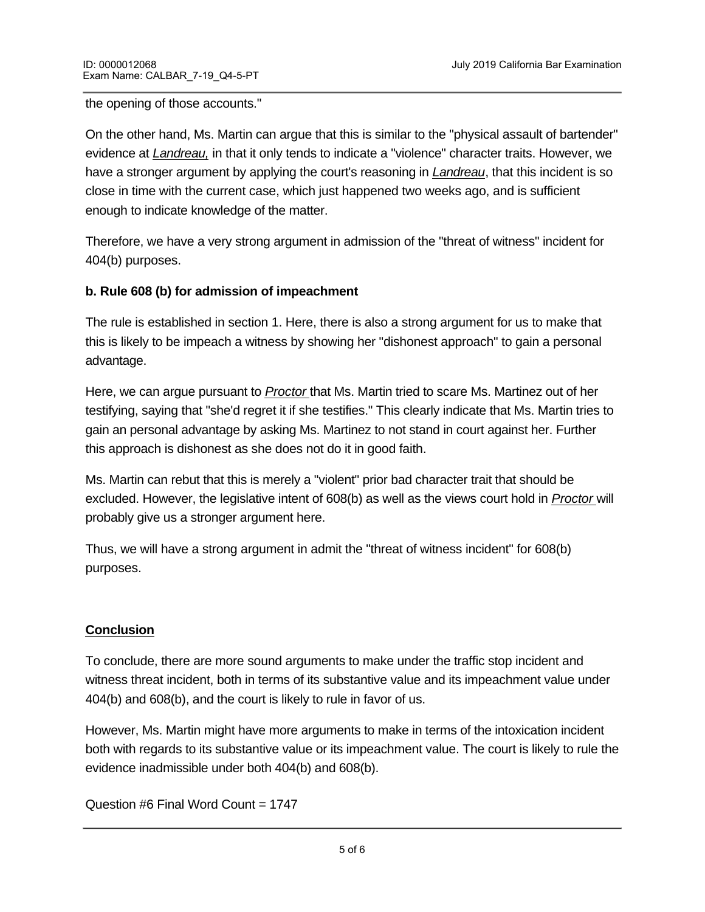the opening of those accounts."

On the other hand, Ms. Martin can argue that this is similar to the "physical assault of bartender" evidence at *Landreau,* in that it only tends to indicate a "violence" character traits. However, we have a stronger argument by applying the court's reasoning in *Landreau*, that this incident is so close in time with the current case, which just happened two weeks ago, and is sufficient enough to indicate knowledge of the matter.

Therefore, we have a very strong argument in admission of the "threat of witness" incident for 404(b) purposes.

### **b. Rule 608 (b) for admission of impeachment**

The rule is established in section 1. Here, there is also a strong argument for us to make that this is likely to be impeach a witness by showing her "dishonest approach" to gain a personal advantage.

Here, we can argue pursuant to *Proctor* that Ms. Martin tried to scare Ms. Martinez out of her testifying, saying that "she'd regret it if she testifies." This clearly indicate that Ms. Martin tries to gain an personal advantage by asking Ms. Martinez to not stand in court against her. Further this approach is dishonest as she does not do it in good faith.

Ms. Martin can rebut that this is merely a "violent" prior bad character trait that should be excluded. However, the legislative intent of 608(b) as well as the views court hold in *Proctor* will probably give us a stronger argument here.

Thus, we will have a strong argument in admit the "threat of witness incident" for 608(b) purposes.

# **Conclusion**

To conclude, there are more sound arguments to make under the traffic stop incident and witness threat incident, both in terms of its substantive value and its impeachment value under 404(b) and 608(b), and the court is likely to rule in favor of us.

However, Ms. Martin might have more arguments to make in terms of the intoxication incident both with regards to its substantive value or its impeachment value. The court is likely to rule the evidence inadmissible under both 404(b) and 608(b).

Question #6 Final Word Count = 1747